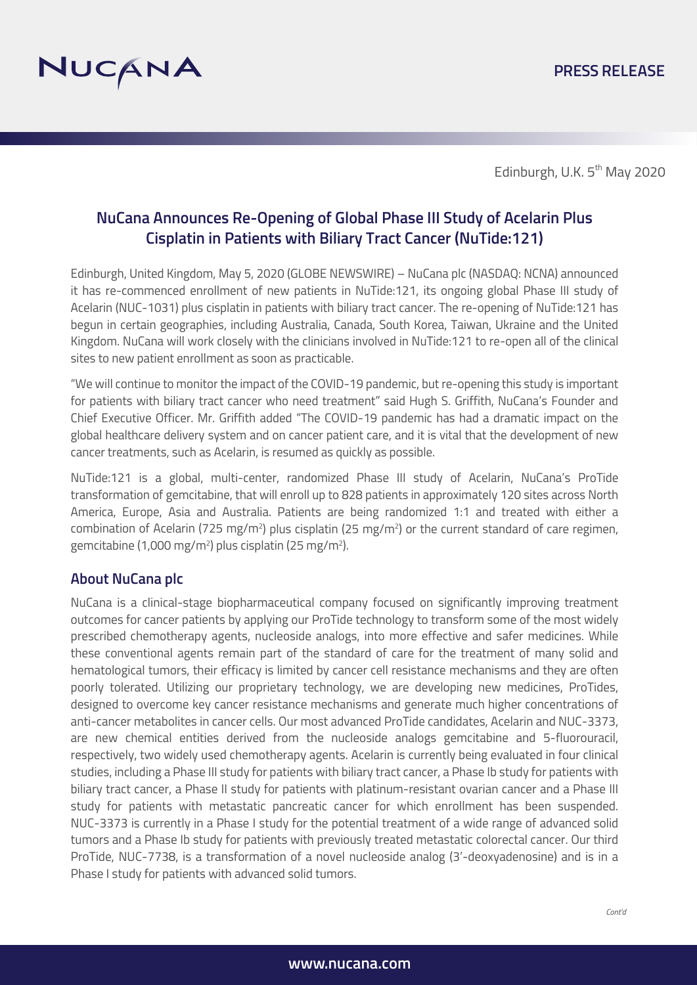

Edinburgh, U.K. 5<sup>th</sup> May 2020

## **NuCana Announces Re-Opening of Global Phase III Study of Acelarin Plus Cisplatin in Patients with Biliary Tract Cancer (NuTide:121)**

Edinburgh, United Kingdom, May 5, 2020 (GLOBE NEWSWIRE) – NuCana plc (NASDAQ: NCNA) announced it has re-commenced enrollment of new patients in NuTide:121, its ongoing global Phase III study of Acelarin (NUC-1031) plus cisplatin in patients with biliary tract cancer. The re-opening of NuTide:121 has begun in certain geographies, including Australia, Canada, South Korea, Taiwan, Ukraine and the United Kingdom. NuCana will work closely with the clinicians involved in NuTide:121 to re-open all of the clinical sites to new patient enrollment as soon as practicable.

"We will continue to monitor the impact of the COVID-19 pandemic, but re-opening this study is important for patients with biliary tract cancer who need treatment" said Hugh S. Griffith, NuCana's Founder and Chief Executive Officer. Mr. Griffith added "The COVID-19 pandemic has had a dramatic impact on the global healthcare delivery system and on cancer patient care, and it is vital that the development of new cancer treatments, such as Acelarin, is resumed as quickly as possible.

NuTide:121 is a global, multi-center, randomized Phase III study of Acelarin, NuCana's ProTide transformation of gemcitabine, that will enroll up to 828 patients in approximately 120 sites across North America, Europe, Asia and Australia. Patients are being randomized 1:1 and treated with either a combination of Acelarin (725 mg/m<sup>2</sup>) plus cisplatin (25 mg/m<sup>2</sup>) or the current standard of care regimen, gemcitabine (1,000 mg/m2 ) plus cisplatin (25 mg/m2 ).

## **About NuCana plc**

NuCana is a clinical-stage biopharmaceutical company focused on significantly improving treatment outcomes for cancer patients by applying our ProTide technology to transform some of the most widely prescribed chemotherapy agents, nucleoside analogs, into more effective and safer medicines. While these conventional agents remain part of the standard of care for the treatment of many solid and hematological tumors, their efficacy is limited by cancer cell resistance mechanisms and they are often poorly tolerated. Utilizing our proprietary technology, we are developing new medicines, ProTides, designed to overcome key cancer resistance mechanisms and generate much higher concentrations of anti-cancer metabolites in cancer cells. Our most advanced ProTide candidates, Acelarin and NUC-3373, are new chemical entities derived from the nucleoside analogs gemcitabine and 5-fluorouracil, respectively, two widely used chemotherapy agents. Acelarin is currently being evaluated in four clinical studies, including a Phase III study for patients with biliary tract cancer, a Phase Ib study for patients with biliary tract cancer, a Phase II study for patients with platinum-resistant ovarian cancer and a Phase III study for patients with metastatic pancreatic cancer for which enrollment has been suspended. NUC-3373 is currently in a Phase I study for the potential treatment of a wide range of advanced solid tumors and a Phase Ib study for patients with previously treated metastatic colorectal cancer. Our third ProTide, NUC-7738, is a transformation of a novel nucleoside analog (3'-deoxyadenosine) and is in a Phase I study for patients with advanced solid tumors.